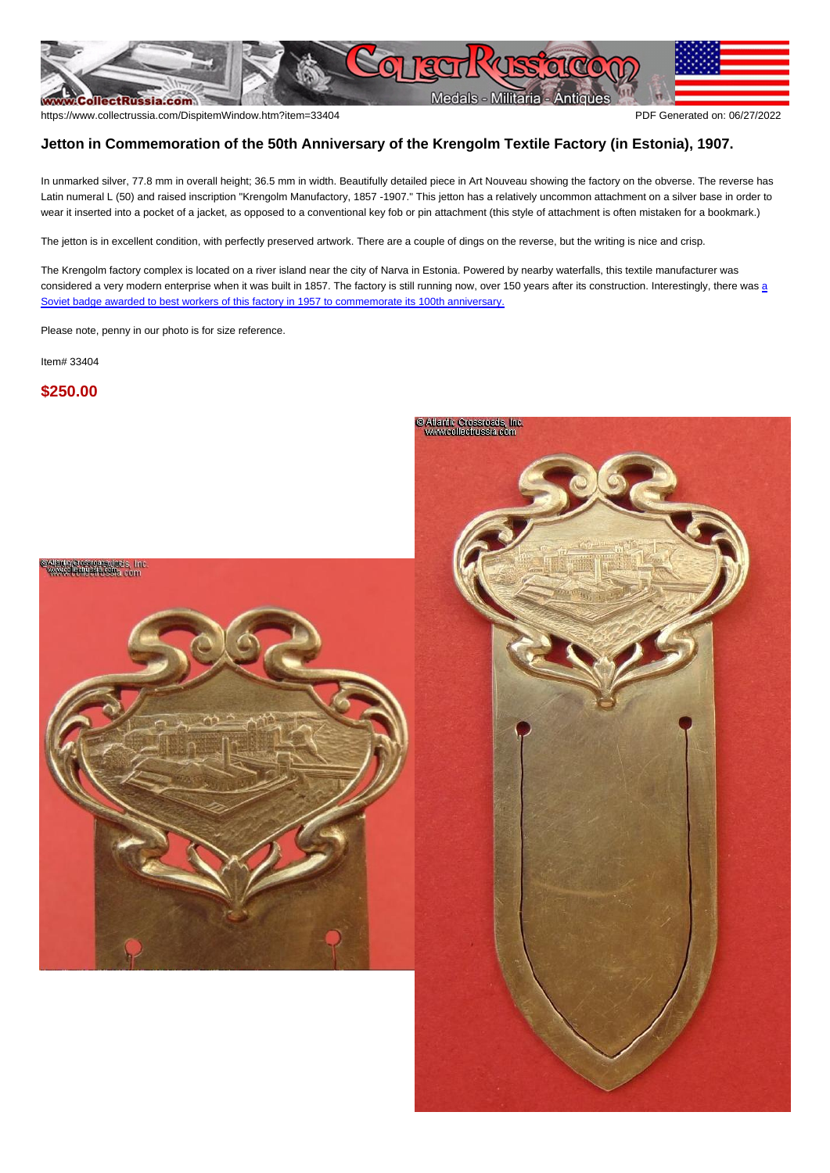

https://www.collectrussia.com/DispitemWindow.htm?item=33404 PDF Generated on: 06/27/2022

## **Jetton in Commemoration of the 50th Anniversary of the Krengolm Textile Factory (in Estonia), 1907.**

In unmarked silver, 77.8 mm in overall height; 36.5 mm in width. Beautifully detailed piece in Art Nouveau showing the factory on the obverse. The reverse has Latin numeral L (50) and raised inscription "Krengolm Manufactory, 1857 -1907." This jetton has a relatively uncommon attachment on a silver base in order to wear it inserted into a pocket of a jacket, as opposed to a conventional key fob or pin attachment (this style of attachment is often mistaken for a bookmark.)

The jetton is in excellent condition, with perfectly preserved artwork. There are a couple of dings on the reverse, but the writing is nice and crisp.

The Krengolm factory complex is located on a river island near the city of Narva in Estonia. Powered by nearby waterfalls, this textile manufacturer was considered a very modern enterprise when it was built in 1857. The factory is still running now, over 150 years after its construction. Interestingly, there was a Soviet badge awarded to best workers of this factory in 1957 to commemorate its 100th anniversary.

Please note, penny in our photo is for size reference.

Item# 33404

**\$250.00**



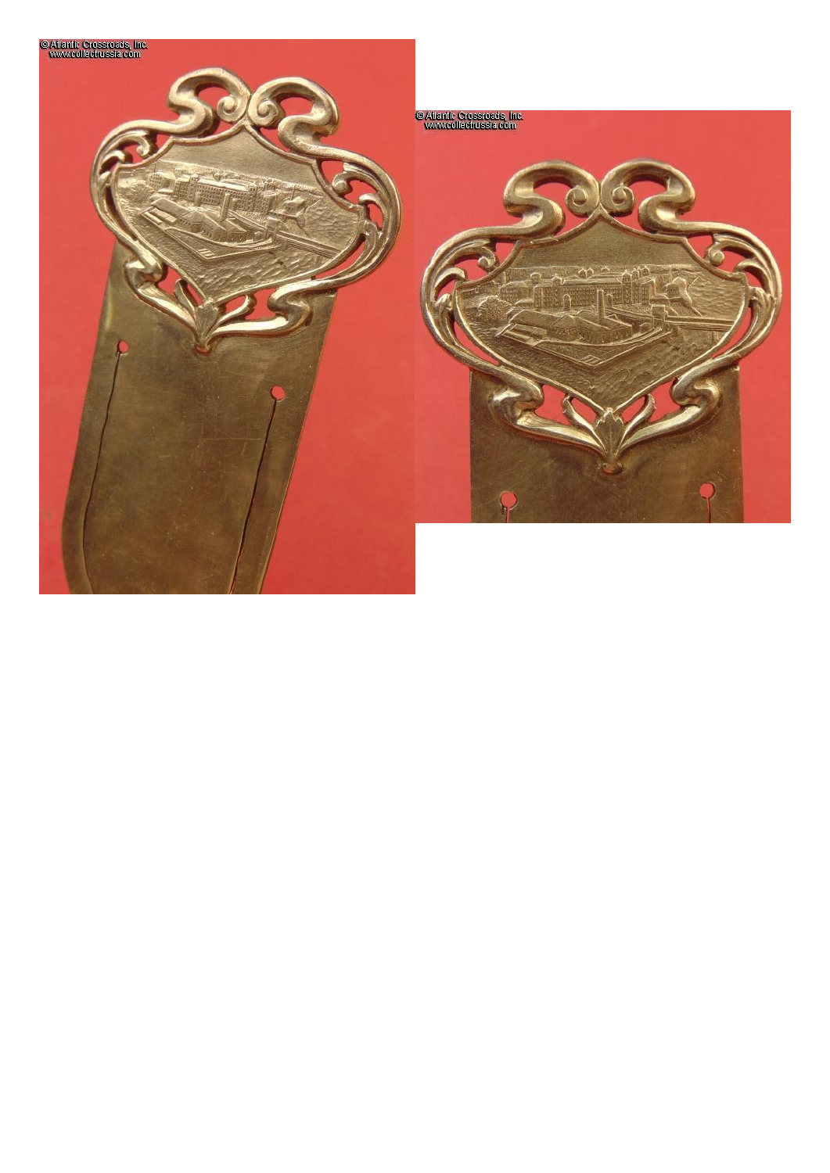